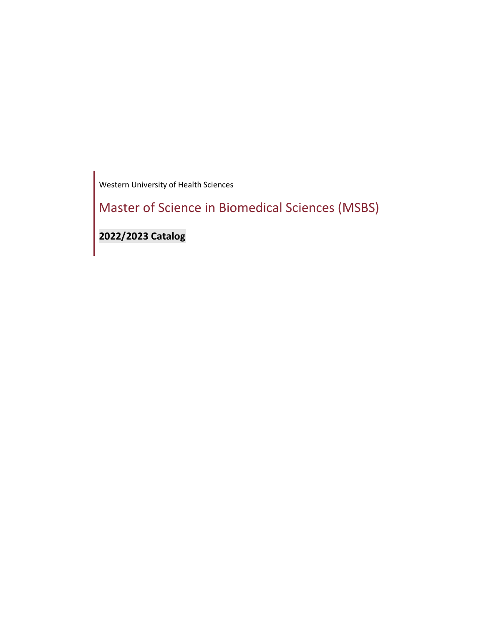Western University of Health Sciences

Master of Science in Biomedical Sciences (MSBS)

**2022/2023 Catalog**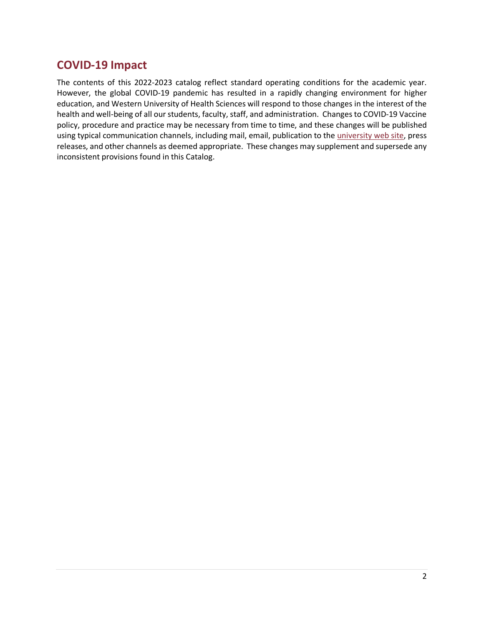# <span id="page-1-0"></span>**COVID-19 Impact**

The contents of this 2022-2023 catalog reflect standard operating conditions for the academic year. However, the global COVID-19 pandemic has resulted in a rapidly changing environment for higher education, and Western University of Health Sciences will respond to those changes in the interest of the health and well-being of all our students, faculty, staff, and administration. Changes to COVID-19 Vaccine policy, procedure and practice may be necessary from time to time, and these changes will be published using typical communication channels, including mail, email, publication to the [university web site,](https://www.westernu.edu/covid-19/) press releases, and other channels as deemed appropriate. These changes may supplement and supersede any inconsistent provisions found in this Catalog.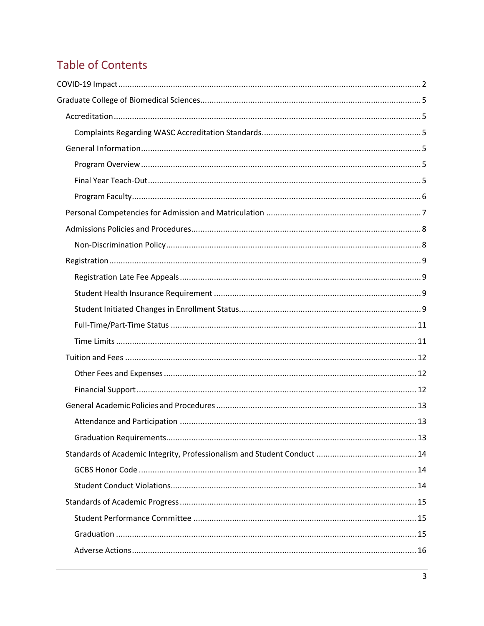# **Table of Contents**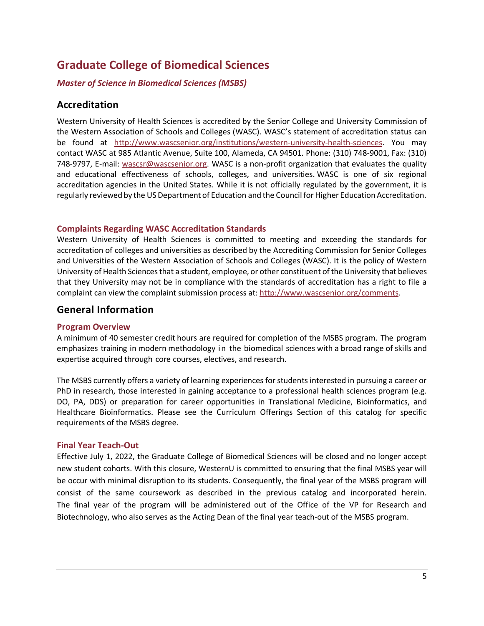# <span id="page-4-0"></span>**Graduate College of Biomedical Sciences**

# *Master of Science in Biomedical Sciences (MSBS)*

# <span id="page-4-1"></span>**Accreditation**

Western University of Health Sciences is accredited by the Senior College and University Commission of the Western Association of Schools and Colleges (WASC). WASC's statement of accreditation status can be found at [http://www.wascsenior.org/institutions/western-university-health-sciences.](http://www.wascsenior.org/institutions/western-university-health-sciences) You may contact WASC at 985 Atlantic Avenue, Suite 100, Alameda, CA 94501. Phone: (310) 748-9001, Fax: (310) 748-9797, E-mail: [wascsr@wascsenior.org.](mailto:wascsr@wascsenior.org) WASC is a non-profit organization that evaluates the quality and educational effectiveness of schools, colleges, and universities. WASC is one of six regional accreditation agencies in the United States. While it is not officially regulated by the government, it is regularly reviewed by the [US Department of Education](http://www.ed.gov/) and th[e Council for Higher Education Accreditation.](http://www.chea.org/)

#### <span id="page-4-2"></span>**Complaints Regarding WASC Accreditation Standards**

Western University of Health Sciences is committed to meeting and exceeding the standards for accreditation of colleges and universities as described by the Accrediting Commission for Senior Colleges and Universities of the Western Association of Schools and Colleges (WASC). It is the policy of Western University of Health Sciences that a student, employee, or other constituent of the University that believes that they University may not be in compliance with the standards of accreditation has a right to file a complaint can view the complaint submission process at: [http://www.wascsenior.org/comments.](http://www.wascsenior.org/comments)

# <span id="page-4-3"></span>**General Information**

#### <span id="page-4-4"></span>**Program Overview**

A minimum of 40 semester credit hours are required for completion of the MSBS program. The program emphasizes training in modern methodology in the biomedical sciences with a broad range of skills and expertise acquired through core courses, electives, and research.

The MSBS currently offers a variety of learning experiences for students interested in pursuing a career or PhD in research, those interested in gaining acceptance to a professional health sciences program (e.g. DO, PA, DDS) or preparation for career opportunities in Translational Medicine, Bioinformatics, and Healthcare Bioinformatics. Please see the Curriculum Offerings Section of this catalog for specific requirements of the MSBS degree.

#### <span id="page-4-5"></span>**Final Year Teach-Out**

Effective July 1, 2022, the Graduate College of Biomedical Sciences will be closed and no longer accept new student cohorts. With this closure, WesternU is committed to ensuring that the final MSBS year will be occur with minimal disruption to its students. Consequently, the final year of the MSBS program will consist of the same coursework as described in the previous catalog and incorporated herein. The final year of the program will be administered out of the Office of the VP for Research and Biotechnology, who also serves as the Acting Dean of the final year teach-out of the MSBS program.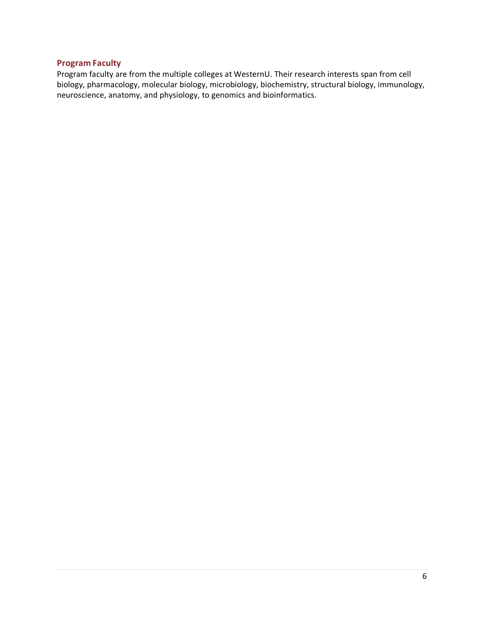#### <span id="page-5-0"></span>**Program Faculty**

Program faculty are from the multiple colleges at WesternU. Their research interests span from cell biology, pharmacology, molecular biology, microbiology, biochemistry, structural biology, immunology, neuroscience, anatomy, and physiology, to genomics and bioinformatics.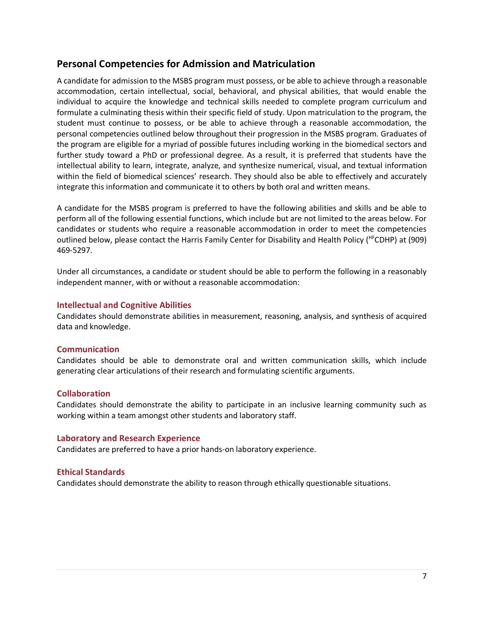# <span id="page-6-0"></span>**Personal Competencies for Admission and Matriculation**

A candidate for admission to the MSBS program must possess, or be able to achieve through a reasonable accommodation, certain intellectual, social, behavioral, and physical abilities, that would enable the individual to acquire the knowledge and technical skills needed to complete program curriculum and formulate a culminating thesis within their specific field of study. Upon matriculation to the program, the student must continue to possess, or be able to achieve through a reasonable accommodation, the personal competencies outlined below throughout their progression in the MSBS program. Graduates of the program are eligible for a myriad of possible futures including working in the biomedical sectors and further study toward a PhD or professional degree. As a result, it is preferred that students have the intellectual ability to learn, integrate, analyze, and synthesize numerical, visual, and textual information within the field of biomedical sciences' research. They should also be able to effectively and accurately integrate this information and communicate it to others by both oral and written means.

A candidate for the MSBS program is preferred to have the following abilities and skills and be able to perform all of the following essential functions, which include but are not limited to the areas below. For candidates or students who require a reasonable accommodation in order to meet the competencies outlined below, please contact the Harris Family Center for Disability and Health Policy (HFCDHP) at (909) 469-5297.

Under all circumstances, a candidate or student should be able to perform the following in a reasonably independent manner, with or without a reasonable accommodation:

#### **Intellectual and Cognitive Abilities**

Candidates should demonstrate abilities in measurement, reasoning, analysis, and synthesis of acquired data and knowledge.

#### **Communication**

Candidates should be able to demonstrate oral and written communication skills, which include generating clear articulations of their research and formulating scientific arguments.

#### **Collaboration**

Candidates should demonstrate the ability to participate in an inclusive learning community such as working within a team amongst other students and laboratory staff.

#### **Laboratory and Research Experience**

Candidates are preferred to have a prior hands-on laboratory experience.

### **Ethical Standards**

Candidates should demonstrate the ability to reason through ethically questionable situations.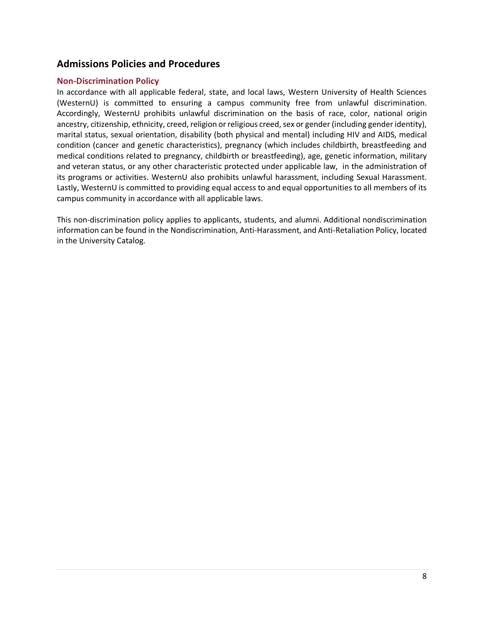# <span id="page-7-0"></span>**Admissions Policies and Procedures**

#### <span id="page-7-1"></span>**Non-Discrimination Policy**

In accordance with all applicable federal, state, and local laws, Western University of Health Sciences (WesternU) is committed to ensuring a campus community free from unlawful discrimination. Accordingly, WesternU prohibits unlawful discrimination on the basis of race, color, national origin ancestry, citizenship, ethnicity, creed, religion or religious creed, sex or gender (including gender identity), marital status, sexual orientation, disability (both physical and mental) including HIV and AIDS, medical condition (cancer and genetic characteristics), pregnancy (which includes childbirth, breastfeeding and medical conditions related to pregnancy, childbirth or breastfeeding), age, genetic information, military and veteran status, or any other characteristic protected under applicable law, in the administration of its programs or activities. WesternU also prohibits unlawful harassment, including Sexual Harassment. Lastly, WesternU is committed to providing equal access to and equal opportunities to all members of its campus community in accordance with all applicable laws.

This non-discrimination policy applies to applicants, students, and alumni. Additional nondiscrimination information can be found in the Nondiscrimination, Anti-Harassment, and Anti-Retaliation Policy, located in the University Catalog.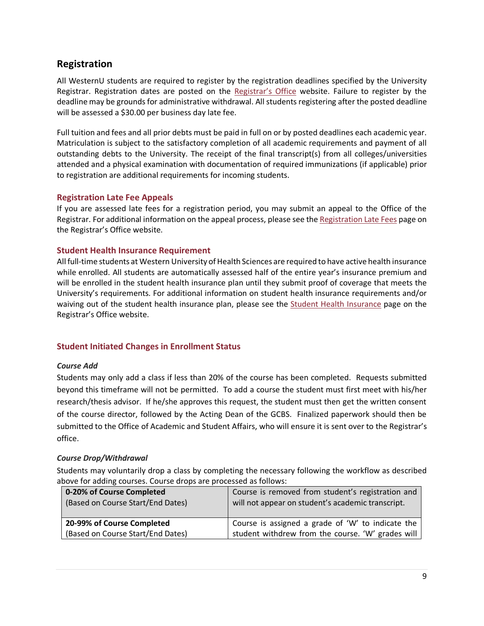# <span id="page-8-0"></span>**Registration**

All WesternU students are required to register by the registration deadlines specified by the University Registrar. Registration dates are posted on the [Registrar's Office](http://www.westernu.edu/registrar/registration-information/) website. Failure to register by the deadline may be grounds for administrative withdrawal. All students registering after the posted deadline will be assessed a \$30.00 per business day late fee.

Full tuition and fees and all prior debts must be paid in full on or by posted deadlines each academic year. Matriculation is subject to the satisfactory completion of all academic requirements and payment of all outstanding debts to the University. The receipt of the final transcript(s) from all colleges/universities attended and a physical examination with documentation of required immunizations (if applicable) prior to registration are additional requirements for incoming students.

### <span id="page-8-1"></span>**Registration Late Fee Appeals**

If you are assessed late fees for a registration period, you may submit an appeal to the Office of the Registrar. For additional information on the appeal process, please see th[e Registration Late Fees](http://www.westernu.edu/registrar/registration-information/registration-late-fees/) page on the Registrar's Office website.

# <span id="page-8-2"></span>**Student Health Insurance Requirement**

All full-time students at Western University of Health Sciences are required to have active health insurance while enrolled. All students are automatically assessed half of the entire year's insurance premium and will be enrolled in the student health insurance plan until they submit proof of coverage that meets the University's requirements. For additional information on student health insurance requirements and/or waiving out of the student health insurance plan, please see the [Student Health Insurance](http://www.westernu.edu/registrar/registration-information/student-health-insurance/) page on the Registrar's Office website.

# <span id="page-8-3"></span>**Student Initiated Changes in Enrollment Status**

### *Course Add*

Students may only add a class if less than 20% of the course has been completed. Requests submitted beyond this timeframe will not be permitted. To add a course the student must first meet with his/her research/thesis advisor. If he/she approves this request, the student must then get the written consent of the course director, followed by the Acting Dean of the GCBS. Finalized paperwork should then be submitted to the Office of Academic and Student Affairs, who will ensure it is sent over to the Registrar's office.

### *Course Drop/Withdrawal*

Students may voluntarily drop a class by completing the necessary following the workflow as described above for adding courses. Course drops are processed as follows:

| 0-20% of Course Completed<br>(Based on Course Start/End Dates) | Course is removed from student's registration and<br>will not appear on student's academic transcript. |
|----------------------------------------------------------------|--------------------------------------------------------------------------------------------------------|
| 20-99% of Course Completed                                     | Course is assigned a grade of 'W' to indicate the                                                      |
| (Based on Course Start/End Dates)                              | student withdrew from the course. 'W' grades will                                                      |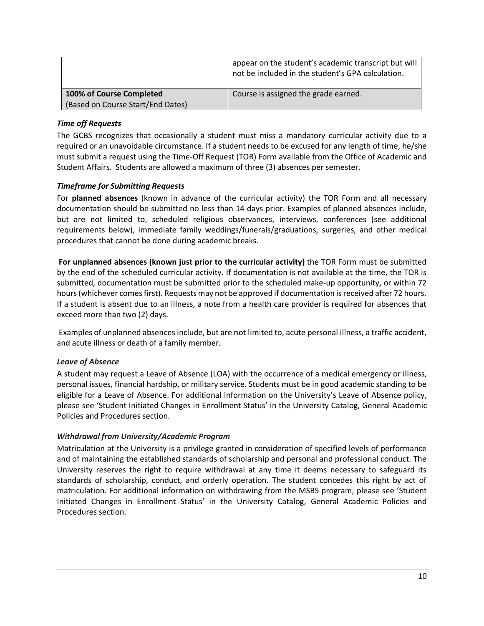|                                   | appear on the student's academic transcript but will<br>not be included in the student's GPA calculation. |  |
|-----------------------------------|-----------------------------------------------------------------------------------------------------------|--|
| 100% of Course Completed          | Course is assigned the grade earned.                                                                      |  |
| (Based on Course Start/End Dates) |                                                                                                           |  |

### *Time off Requests*

The GCBS recognizes that occasionally a student must miss a mandatory curricular activity due to a required or an unavoidable circumstance. If a student needs to be excused for any length of time, he/she must submit a request using the Time-Off Request (TOR) Form available from the Office of Academic and Student Affairs. Students are allowed a maximum of three (3) absences per semester.

#### *Timeframe for Submitting Requests*

For **planned absences** (known in advance of the curricular activity) the TOR Form and all necessary documentation should be submitted no less than 14 days prior. Examples of planned absences include, but are not limited to, scheduled religious observances, interviews, conferences (see additional requirements below), immediate family weddings/funerals/graduations, surgeries, and other medical procedures that cannot be done during academic breaks.

**For unplanned absences (known just prior to the curricular activity)** the TOR Form must be submitted by the end of the scheduled curricular activity. If documentation is not available at the time, the TOR is submitted, documentation must be submitted prior to the scheduled make-up opportunity, or within 72 hours (whichever comes first). Requests may not be approved if documentation is received after 72 hours. If a student is absent due to an illness, a note from a health care provider is required for absences that exceed more than two (2) days.

Examples of unplanned absences include, but are not limited to, acute personal illness, a traffic accident, and acute illness or death of a family member.

#### *Leave of Absence*

A student may request a Leave of Absence (LOA) with the occurrence of a medical emergency or illness, personal issues, financial hardship, or military service. Students must be in good academic standing to be eligible for a Leave of Absence. For additional information on the University's Leave of Absence policy, please see 'Student Initiated Changes in Enrollment Status' in the University Catalog, General Academic Policies and Procedures section.

#### *Withdrawal from University/Academic Program*

Matriculation at the University is a privilege granted in consideration of specified levels of performance and of maintaining the established standards of scholarship and personal and professional conduct. The University reserves the right to require withdrawal at any time it deems necessary to safeguard its standards of scholarship, conduct, and orderly operation. The student concedes this right by act of matriculation. For additional information on withdrawing from the MSBS program, please see 'Student Initiated Changes in Enrollment Status' in the University Catalog, General Academic Policies and Procedures section.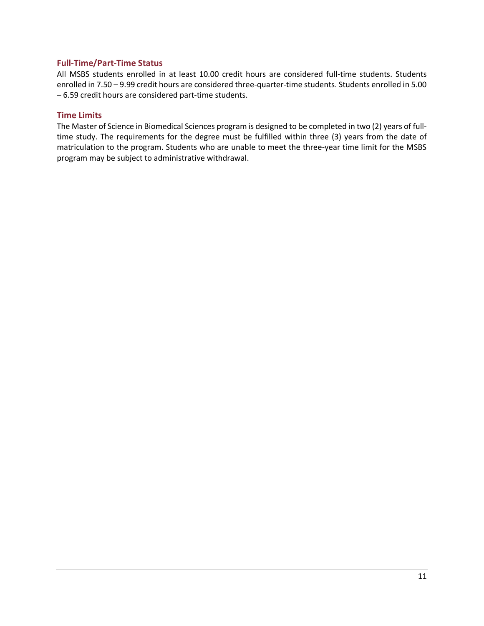#### <span id="page-10-0"></span>**Full-Time/Part-Time Status**

All MSBS students enrolled in at least 10.00 credit hours are considered full-time students. Students enrolled in 7.50 – 9.99 credit hours are considered three-quarter-time students. Students enrolled in 5.00 – 6.59 credit hours are considered part-time students.

#### <span id="page-10-1"></span>**Time Limits**

The Master of Science in Biomedical Sciences program is designed to be completed in two (2) years of fulltime study. The requirements for the degree must be fulfilled within three (3) years from the date of matriculation to the program. Students who are unable to meet the three-year time limit for the MSBS program may be subject to administrative withdrawal.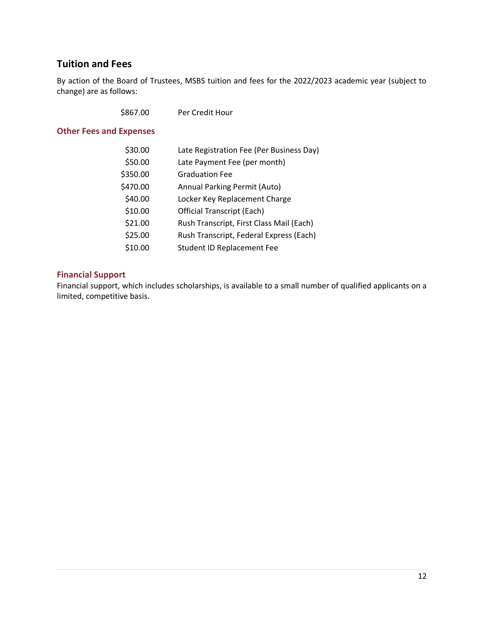# <span id="page-11-0"></span>**Tuition and Fees**

By action of the Board of Trustees, MSBS tuition and fees for the 2022/2023 academic year (subject to change) are as follows:

# <span id="page-11-1"></span>**Other Fees and Expenses**

| \$30.00  | Late Registration Fee (Per Business Day) |
|----------|------------------------------------------|
| \$50.00  | Late Payment Fee (per month)             |
| \$350.00 | <b>Graduation Fee</b>                    |
| \$470.00 | Annual Parking Permit (Auto)             |
| \$40.00  | Locker Key Replacement Charge            |
| \$10.00  | <b>Official Transcript (Each)</b>        |
| \$21.00  | Rush Transcript, First Class Mail (Each) |
| \$25.00  | Rush Transcript, Federal Express (Each)  |
| \$10.00  | <b>Student ID Replacement Fee</b>        |

# <span id="page-11-2"></span>**Financial Support**

Financial support, which includes scholarships, is available to a small number of qualified applicants on a limited, competitive basis.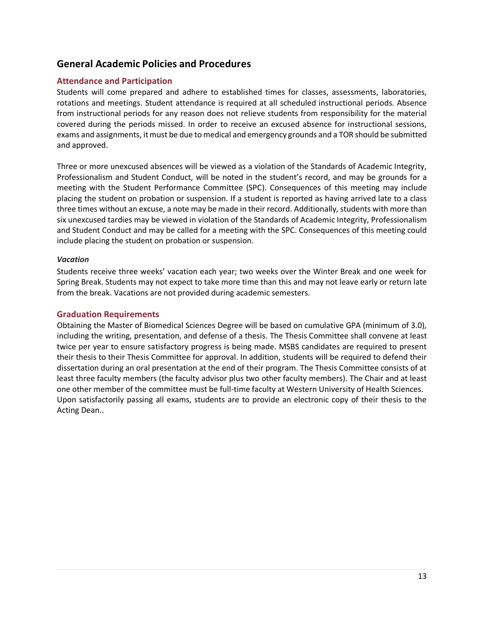# <span id="page-12-0"></span>**General Academic Policies and Procedures**

### <span id="page-12-1"></span>**Attendance and Participation**

Students will come prepared and adhere to established times for classes, assessments, laboratories, rotations and meetings. Student attendance is required at all scheduled instructional periods. Absence from instructional periods for any reason does not relieve students from responsibility for the material covered during the periods missed. In order to receive an excused absence for instructional sessions, exams and assignments, it must be due to medical and emergency grounds and a TOR should be submitted and approved.

Three or more unexcused absences will be viewed as a violation of the Standards of Academic Integrity, Professionalism and Student Conduct, will be noted in the student's record, and may be grounds for a meeting with the Student Performance Committee (SPC). Consequences of this meeting may include placing the student on probation or suspension. If a student is reported as having arrived late to a class three times without an excuse, a note may be made in their record. Additionally, students with more than six unexcused tardies may be viewed in violation of the Standards of Academic Integrity, Professionalism and Student Conduct and may be called for a meeting with the SPC. Consequences of this meeting could include placing the student on probation or suspension.

#### *Vacation*

Students receive three weeks' vacation each year; two weeks over the Winter Break and one week for Spring Break. Students may not expect to take more time than this and may not leave early or return late from the break. Vacations are not provided during academic semesters.

#### <span id="page-12-2"></span>**Graduation Requirements**

Obtaining the Master of Biomedical Sciences Degree will be based on cumulative GPA (minimum of 3.0), including the writing, presentation, and defense of a thesis. The Thesis Committee shall convene at least twice per year to ensure satisfactory progress is being made. MSBS candidates are required to present their thesis to their Thesis Committee for approval. In addition, students will be required to defend their dissertation during an oral presentation at the end of their program. The Thesis Committee consists of at least three faculty members (the faculty advisor plus two other faculty members). The Chair and at least one other member of the committee must be full-time faculty at Western University of Health Sciences. Upon satisfactorily passing all exams, students are to provide an electronic copy of their thesis to the Acting Dean..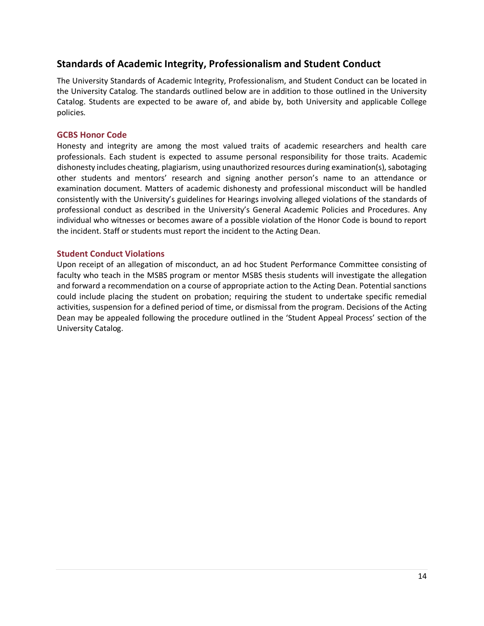# <span id="page-13-0"></span>**Standards of Academic Integrity, Professionalism and Student Conduct**

The University Standards of Academic Integrity, Professionalism, and Student Conduct can be located in the University Catalog. The standards outlined below are in addition to those outlined in the University Catalog. Students are expected to be aware of, and abide by, both University and applicable College policies.

#### <span id="page-13-1"></span>**GCBS Honor Code**

Honesty and integrity are among the most valued traits of academic researchers and health care professionals. Each student is expected to assume personal responsibility for those traits. Academic dishonesty includes cheating, plagiarism, using unauthorized resources during examination(s), sabotaging other students and mentors' research and signing another person's name to an attendance or examination document. Matters of academic dishonesty and professional misconduct will be handled consistently with the University's guidelines for Hearings involving alleged violations of the standards of professional conduct as described in the University's General Academic Policies and Procedures. Any individual who witnesses or becomes aware of a possible violation of the Honor Code is bound to report the incident. Staff or students must report the incident to the Acting Dean.

#### <span id="page-13-2"></span>**Student Conduct Violations**

Upon receipt of an allegation of misconduct, an ad hoc Student Performance Committee consisting of faculty who teach in the MSBS program or mentor MSBS thesis students will investigate the allegation and forward a recommendation on a course of appropriate action to the Acting Dean. Potential sanctions could include placing the student on probation; requiring the student to undertake specific remedial activities, suspension for a defined period of time, or dismissal from the program. Decisions of the Acting Dean may be appealed following the procedure outlined in the 'Student Appeal Process' section of the University Catalog.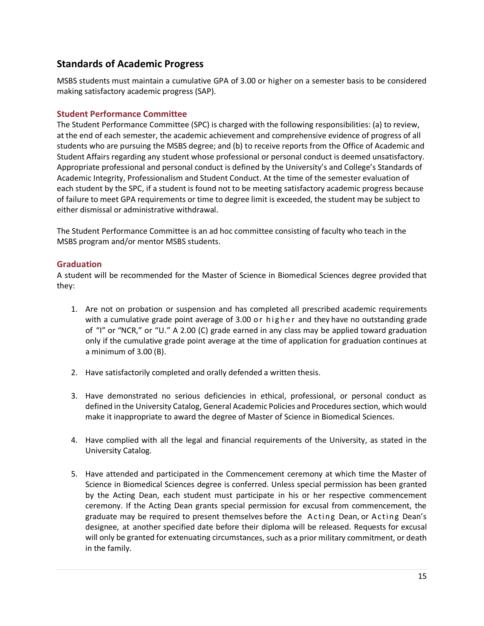# <span id="page-14-0"></span>**Standards of Academic Progress**

MSBS students must maintain a cumulative GPA of 3.00 or higher on a semester basis to be considered making satisfactory academic progress (SAP).

### <span id="page-14-1"></span>**Student Performance Committee**

The Student Performance Committee (SPC) is charged with the following responsibilities: (a) to review, at the end of each semester, the academic achievement and comprehensive evidence of progress of all students who are pursuing the MSBS degree; and (b) to receive reports from the Office of Academic and Student Affairs regarding any student whose professional or personal conduct is deemed unsatisfactory. Appropriate professional and personal conduct is defined by the University's and College's Standards of Academic Integrity, Professionalism and Student Conduct. At the time of the semester evaluation of each student by the SPC, if a student is found not to be meeting satisfactory academic progress because of failure to meet GPA requirements or time to degree limit is exceeded, the student may be subject to either dismissal or administrative withdrawal.

The Student Performance Committee is an ad hoc committee consisting of faculty who teach in the MSBS program and/or mentor MSBS students.

### <span id="page-14-2"></span>**Graduation**

A student will be recommended for the Master of Science in Biomedical Sciences degree provided that they:

- 1. Are not on probation or suspension and has completed all prescribed academic requirements with a cumulative grade point average of 3.00 or higher and they have no outstanding grade of "I" or "NCR," or "U." A 2.00 (C) grade earned in any class may be applied toward graduation only if the cumulative grade point average at the time of application for graduation continues at a minimum of 3.00 (B).
- 2. Have satisfactorily completed and orally defended a written thesis.
- 3. Have demonstrated no serious deficiencies in ethical, professional, or personal conduct as defined in the University Catalog, General Academic Policies and Procedures section, which would make it inappropriate to award the degree of Master of Science in Biomedical Sciences.
- 4. Have complied with all the legal and financial requirements of the University, as stated in the University Catalog.
- 5. Have attended and participated in the Commencement ceremony at which time the Master of Science in Biomedical Sciences degree is conferred. Unless special permission has been granted by the Acting Dean, each student must participate in his or her respective commencement ceremony. If the Acting Dean grants special permission for excusal from commencement, the graduate may be required to present themselves before the Acting Dean, or Acting Dean's designee, at another specified date before their diploma will be released. Requests for excusal will only be granted for extenuating circumstances, such as a prior military commitment, or death in the family.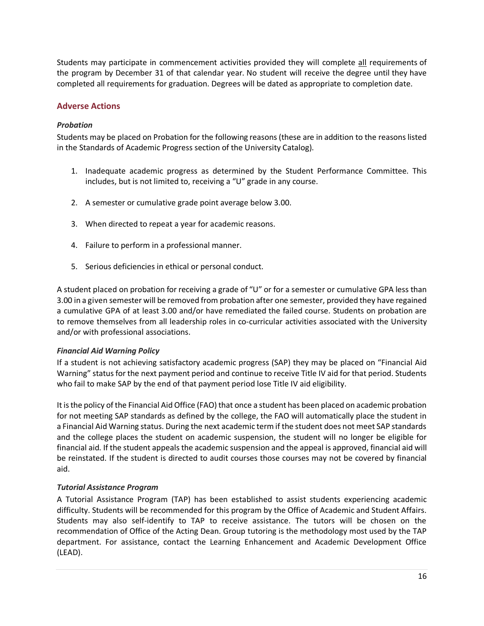Students may participate in commencement activities provided they will complete all requirements of the program by December 31 of that calendar year. No student will receive the degree until they have completed all requirements for graduation. Degrees will be dated as appropriate to completion date.

### <span id="page-15-0"></span>**Adverse Actions**

#### *Probation*

Students may be placed on Probation for the following reasons (these are in addition to the reasons listed in the Standards of Academic Progress section of the University Catalog).

- 1. Inadequate academic progress as determined by the Student Performance Committee. This includes, but is not limited to, receiving a "U" grade in any course.
- 2. A semester or cumulative grade point average below 3.00.
- 3. When directed to repeat a year for academic reasons.
- 4. Failure to perform in a professional manner.
- 5. Serious deficiencies in ethical or personal conduct.

A student placed on probation for receiving a grade of "U" or for a semester or cumulative GPA less than 3.00 in a given semester will be removed from probation after one semester, provided they have regained a cumulative GPA of at least 3.00 and/or have remediated the failed course. Students on probation are to remove themselves from all leadership roles in co-curricular activities associated with the University and/or with professional associations.

#### *Financial Aid Warning Policy*

If a student is not achieving satisfactory academic progress (SAP) they may be placed on "Financial Aid Warning" status for the next payment period and continue to receive Title IV aid for that period. Students who fail to make SAP by the end of that payment period lose Title IV aid eligibility.

It is the policy of the Financial Aid Office (FAO) that once a student has been placed on academic probation for not meeting SAP standards as defined by the college, the FAO will automatically place the student in a Financial Aid Warning status. During the next academic term if the student does not meet SAP standards and the college places the student on academic suspension, the student will no longer be eligible for financial aid. If the student appeals the academic suspension and the appeal is approved, financial aid will be reinstated. If the student is directed to audit courses those courses may not be covered by financial aid.

#### *Tutorial Assistance Program*

A Tutorial Assistance Program (TAP) has been established to assist students experiencing academic difficulty. Students will be recommended for this program by the Office of Academic and Student Affairs. Students may also self-identify to TAP to receive assistance. The tutors will be chosen on the recommendation of Office of the Acting Dean. Group tutoring is the methodology most used by the TAP department. For assistance, contact the Learning Enhancement and Academic Development Office (LEAD).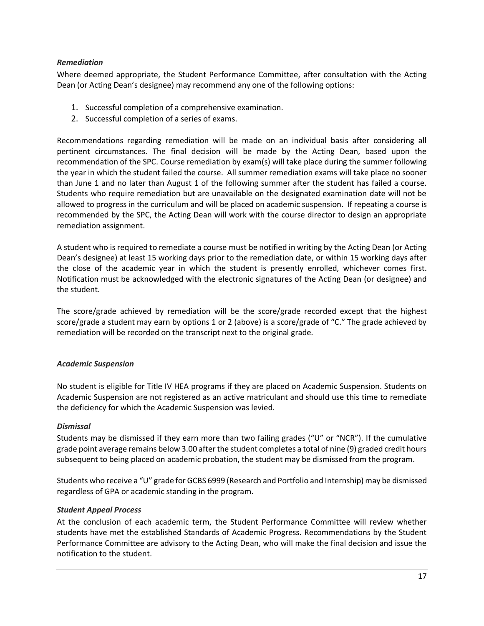#### *Remediation*

Where deemed appropriate, the Student Performance Committee, after consultation with the Acting Dean (or Acting Dean's designee) may recommend any one of the following options:

- 1. Successful completion of a comprehensive examination.
- 2. Successful completion of a series of exams.

Recommendations regarding remediation will be made on an individual basis after considering all pertinent circumstances. The final decision will be made by the Acting Dean, based upon the recommendation of the SPC. Course remediation by exam(s) will take place during the summer following the year in which the student failed the course. All summer remediation exams will take place no sooner than June 1 and no later than August 1 of the following summer after the student has failed a course. Students who require remediation but are unavailable on the designated examination date will not be allowed to progress in the curriculum and will be placed on academic suspension. If repeating a course is recommended by the SPC, the Acting Dean will work with the course director to design an appropriate remediation assignment.

A student who is required to remediate a course must be notified in writing by the Acting Dean (or Acting Dean's designee) at least 15 working days prior to the remediation date, or within 15 working days after the close of the academic year in which the student is presently enrolled, whichever comes first. Notification must be acknowledged with the electronic signatures of the Acting Dean (or designee) and the student.

The score/grade achieved by remediation will be the score/grade recorded except that the highest score/grade a student may earn by options 1 or 2 (above) is a score/grade of "C." The grade achieved by remediation will be recorded on the transcript next to the original grade.

#### *Academic Suspension*

No student is eligible for Title IV HEA programs if they are placed on Academic Suspension. Students on Academic Suspension are not registered as an active matriculant and should use this time to remediate the deficiency for which the Academic Suspension was levied.

#### *Dismissal*

Students may be dismissed if they earn more than two failing grades ("U" or "NCR"). If the cumulative grade point average remains below 3.00 after the student completes a total of nine (9) graded credit hours subsequent to being placed on academic probation, the student may be dismissed from the program.

Students who receive a "U" grade for GCBS 6999 (Research and Portfolio and Internship) may be dismissed regardless of GPA or academic standing in the program.

#### *Student Appeal Process*

At the conclusion of each academic term, the Student Performance Committee will review whether students have met the established Standards of Academic Progress. Recommendations by the Student Performance Committee are advisory to the Acting Dean, who will make the final decision and issue the notification to the student.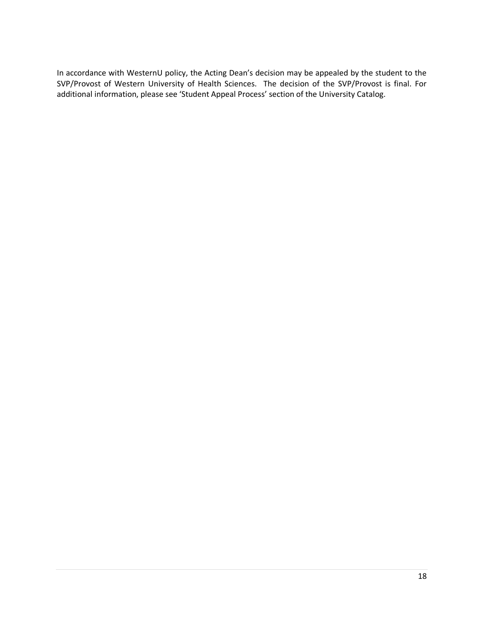In accordance with WesternU policy, the Acting Dean's decision may be appealed by the student to the SVP/Provost of Western University of Health Sciences. The decision of the SVP/Provost is final. For additional information, please see 'Student Appeal Process' section of the University Catalog.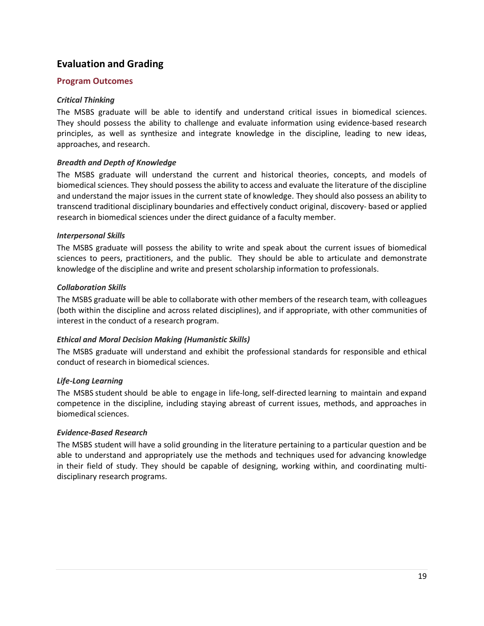# <span id="page-18-0"></span>**Evaluation and Grading**

#### <span id="page-18-1"></span>**Program Outcomes**

#### *Critical Thinking*

The MSBS graduate will be able to identify and understand critical issues in biomedical sciences. They should possess the ability to challenge and evaluate information using evidence-based research principles, as well as synthesize and integrate knowledge in the discipline, leading to new ideas, approaches, and research.

#### *Breadth and Depth of Knowledge*

The MSBS graduate will understand the current and historical theories, concepts, and models of biomedical sciences. They should possess the ability to access and evaluate the literature of the discipline and understand the major issues in the current state of knowledge. They should also possess an ability to transcend traditional disciplinary boundaries and effectively conduct original, discovery- based or applied research in biomedical sciences under the direct guidance of a faculty member.

#### *Interpersonal Skills*

The MSBS graduate will possess the ability to write and speak about the current issues of biomedical sciences to peers, practitioners, and the public. They should be able to articulate and demonstrate knowledge of the discipline and write and present scholarship information to professionals.

#### *Collaboration Skills*

The MSBS graduate will be able to collaborate with other members of the research team, with colleagues (both within the discipline and across related disciplines), and if appropriate, with other communities of interest in the conduct of a research program.

#### *Ethical and Moral Decision Making (Humanistic Skills)*

The MSBS graduate will understand and exhibit the professional standards for responsible and ethical conduct of research in biomedical sciences.

### *Life-Long Learning*

The MSBS student should be able to engage in life-long, self-directed learning to maintain and expand competence in the discipline, including staying abreast of current issues, methods, and approaches in biomedical sciences.

#### *Evidence-Based Research*

The MSBS student will have a solid grounding in the literature pertaining to a particular question and be able to understand and appropriately use the methods and techniques used for advancing knowledge in their field of study. They should be capable of designing, working within, and coordinating multidisciplinary research programs.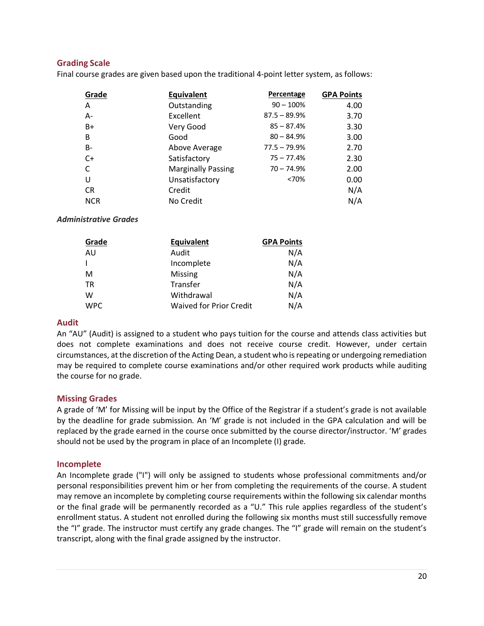# <span id="page-19-0"></span>**Grading Scale**

Final course grades are given based upon the traditional 4-point letter system, as follows:

| Grade      | <b>Equivalent</b>         | Percentage     | <b>GPA Points</b> |
|------------|---------------------------|----------------|-------------------|
| Α          | Outstanding               | $90 - 100\%$   | 4.00              |
| А-         | Excellent                 | $87.5 - 89.9%$ | 3.70              |
| B+         | Very Good                 | $85 - 87.4%$   | 3.30              |
| B          | Good                      | $80 - 84.9%$   | 3.00              |
| B-         | Above Average             | $77.5 - 79.9%$ | 2.70              |
| $C+$       | Satisfactory              | $75 - 77.4%$   | 2.30              |
| C          | <b>Marginally Passing</b> | $70 - 74.9%$   | 2.00              |
| U          | Unsatisfactory            | <70%           | 0.00              |
| <b>CR</b>  | Credit                    |                | N/A               |
| <b>NCR</b> | No Credit                 |                | N/A               |

#### *Administrative Grades*

| Grade      | <b>Equivalent</b>              | <b>GPA Points</b> |
|------------|--------------------------------|-------------------|
| AU         | Audit                          | N/A               |
|            | Incomplete                     | N/A               |
| M          | Missing                        | N/A               |
| TR         | Transfer                       | N/A               |
| w          | Withdrawal                     | N/A               |
| <b>WPC</b> | <b>Waived for Prior Credit</b> | N/A               |

#### <span id="page-19-1"></span>**Audit**

An "AU" (Audit) is assigned to a student who pays tuition for the course and attends class activities but does not complete examinations and does not receive course credit. However, under certain circumstances, at the discretion of the Acting Dean, a student who is repeating or undergoing remediation may be required to complete course examinations and/or other required work products while auditing the course for no grade.

#### <span id="page-19-2"></span>**Missing Grades**

A grade of 'M' for Missing will be input by the Office of the Registrar if a student's grade is not available by the deadline for grade submission. An 'M' grade is not included in the GPA calculation and will be replaced by the grade earned in the course once submitted by the course director/instructor. 'M' grades should not be used by the program in place of an Incomplete (I) grade.

#### <span id="page-19-3"></span>**Incomplete**

An Incomplete grade ("I") will only be assigned to students whose professional commitments and/or personal responsibilities prevent him or her from completing the requirements of the course. A student may remove an incomplete by completing course requirements within the following six calendar months or the final grade will be permanently recorded as a "U." This rule applies regardless of the student's enrollment status. A student not enrolled during the following six months must still successfully remove the "I" grade. The instructor must certify any grade changes. The "I" grade will remain on the student's transcript, along with the final grade assigned by the instructor.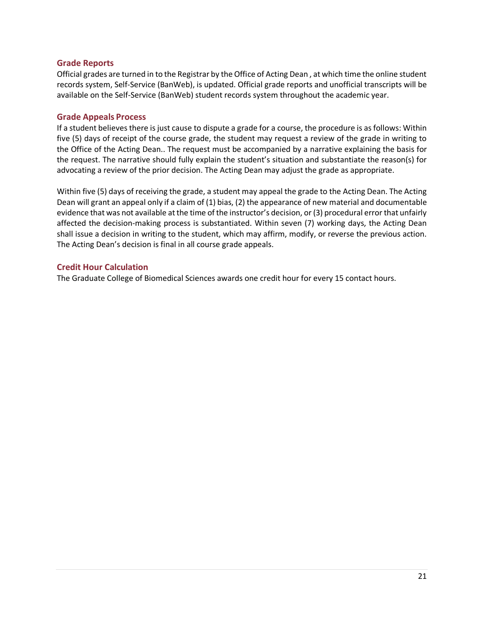#### <span id="page-20-0"></span>**Grade Reports**

Official grades are turned in to the Registrar by the Office of Acting Dean , at which time the online student records system, Self-Service (BanWeb), is updated. Official grade reports and unofficial transcripts will be available on the Self-Service (BanWeb) student records system throughout the academic year.

#### <span id="page-20-1"></span>**Grade Appeals Process**

If a student believes there is just cause to dispute a grade for a course, the procedure is as follows: Within five (5) days of receipt of the course grade, the student may request a review of the grade in writing to the Office of the Acting Dean.. The request must be accompanied by a narrative explaining the basis for the request. The narrative should fully explain the student's situation and substantiate the reason(s) for advocating a review of the prior decision. The Acting Dean may adjust the grade as appropriate.

Within five (5) days of receiving the grade, a student may appeal the grade to the Acting Dean. The Acting Dean will grant an appeal only if a claim of (1) bias, (2) the appearance of new material and documentable evidence that was not available at the time of the instructor's decision, or (3) procedural error that unfairly affected the decision-making process is substantiated. Within seven (7) working days, the Acting Dean shall issue a decision in writing to the student, which may affirm, modify, or reverse the previous action. The Acting Dean's decision is final in all course grade appeals.

#### <span id="page-20-2"></span>**Credit Hour Calculation**

The Graduate College of Biomedical Sciences awards one credit hour for every 15 contact hours.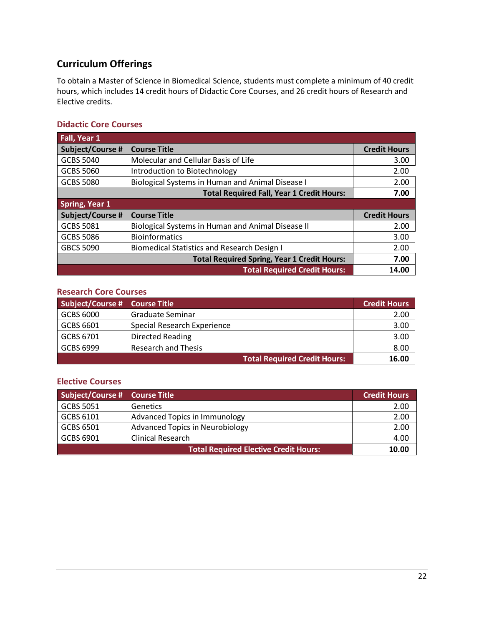# <span id="page-21-0"></span>**Curriculum Offerings**

To obtain a Master of Science in Biomedical Science, students must complete a minimum of 40 credit hours, which includes 14 credit hours of Didactic Core Courses, and 26 credit hours of Research and Elective credits.

# <span id="page-21-1"></span>**Didactic Core Courses**

| Fall, Year 1                                       |                                                    |                     |
|----------------------------------------------------|----------------------------------------------------|---------------------|
| Subject/Course #                                   | <b>Course Title</b>                                | <b>Credit Hours</b> |
| <b>GCBS 5040</b>                                   | Molecular and Cellular Basis of Life               | 3.00                |
| <b>GCBS 5060</b>                                   | Introduction to Biotechnology                      | 2.00                |
| <b>GCBS 5080</b>                                   | Biological Systems in Human and Animal Disease I   | 2.00                |
|                                                    | <b>Total Required Fall, Year 1 Credit Hours:</b>   | 7.00                |
| <b>Spring, Year 1</b>                              |                                                    |                     |
| Subject/Course #                                   | <b>Course Title</b>                                | <b>Credit Hours</b> |
| <b>GCBS 5081</b>                                   | Biological Systems in Human and Animal Disease II  | 2.00                |
| <b>GCBS 5086</b>                                   | <b>Bioinformatics</b>                              | 3.00                |
| <b>GBCS 5090</b>                                   | <b>Biomedical Statistics and Research Design I</b> | 2.00                |
| <b>Total Required Spring, Year 1 Credit Hours:</b> |                                                    | 7.00                |
|                                                    | <b>Total Required Credit Hours:</b>                | 14.00               |

# <span id="page-21-2"></span>**Research Core Courses**

| Subject/Course # | <b>Course Title</b>                 | <b>Credit Hours</b> |
|------------------|-------------------------------------|---------------------|
| <b>GCBS 6000</b> | Graduate Seminar                    | 2.00                |
| GCBS 6601        | Special Research Experience         | 3.00                |
| GCBS 6701        | <b>Directed Reading</b>             | 3.00                |
| GCBS 6999        | Research and Thesis                 | 8.00                |
|                  | <b>Total Required Credit Hours:</b> | 16.00               |

#### <span id="page-21-3"></span>**Elective Courses**

| Subject/Course # Course Title |                                              | <b>Credit Hours</b> |
|-------------------------------|----------------------------------------------|---------------------|
| <b>GCBS 5051</b>              | <b>Genetics</b>                              | 2.00                |
| GCBS 6101                     | <b>Advanced Topics in Immunology</b>         | 2.00                |
| <b>GCBS 6501</b>              | <b>Advanced Topics in Neurobiology</b>       | 2.00                |
| GCBS 6901                     | <b>Clinical Research</b>                     | 4.00                |
|                               | <b>Total Required Elective Credit Hours:</b> | 10.00               |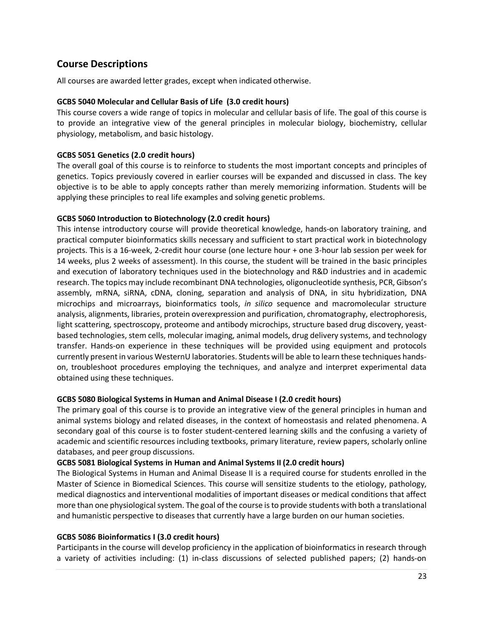# <span id="page-22-0"></span>**Course Descriptions**

All courses are awarded letter grades, except when indicated otherwise.

#### **GCBS 5040 Molecular and Cellular Basis of Life (3.0 credit hours)**

This course covers a wide range of topics in molecular and cellular basis of life. The goal of this course is to provide an integrative view of the general principles in molecular biology, biochemistry, cellular physiology, metabolism, and basic histology.

#### **GCBS 5051 Genetics (2.0 credit hours)**

The overall goal of this course is to reinforce to students the most important concepts and principles of genetics. Topics previously covered in earlier courses will be expanded and discussed in class. The key objective is to be able to apply concepts rather than merely memorizing information. Students will be applying these principles to real life examples and solving genetic problems.

#### **GCBS 5060 Introduction to Biotechnology (2.0 credit hours)**

This intense introductory course will provide theoretical knowledge, hands-on laboratory training, and practical computer bioinformatics skills necessary and sufficient to start practical work in biotechnology projects. This is a 16-week, 2-credit hour course (one lecture hour + one 3-hour lab session per week for 14 weeks, plus 2 weeks of assessment). In this course, the student will be trained in the basic principles and execution of laboratory techniques used in the biotechnology and R&D industries and in academic research. The topics may include recombinant DNA technologies, oligonucleotide synthesis, PCR, Gibson's assembly, mRNA, siRNA, cDNA, cloning, separation and analysis of DNA, in situ hybridization, DNA microchips and microarrays, bioinformatics tools, *in silico* sequence and macromolecular structure analysis, alignments, libraries, protein overexpression and purification, chromatography, electrophoresis, light scattering, spectroscopy, proteome and antibody microchips, structure based drug discovery, yeastbased technologies, stem cells, molecular imaging, animal models, drug delivery systems, and technology transfer. Hands-on experience in these techniques will be provided using equipment and protocols currently present in various WesternU laboratories. Students will be able to learn these techniques handson, troubleshoot procedures employing the techniques, and analyze and interpret experimental data obtained using these techniques.

#### **GCBS 5080 Biological Systems in Human and Animal Disease I (2.0 credit hours)**

The primary goal of this course is to provide an integrative view of the general principles in human and animal systems biology and related diseases, in the context of homeostasis and related phenomena. A secondary goal of this course is to foster student-centered learning skills and the confusing a variety of academic and scientific resources including textbooks, primary literature, review papers, scholarly online databases, and peer group discussions.

#### **GCBS 5081 Biological Systems in Human and Animal Systems II (2.0 credit hours)**

The Biological Systems in Human and Animal Disease II is a required course for students enrolled in the Master of Science in Biomedical Sciences. This course will sensitize students to the etiology, pathology, medical diagnostics and interventional modalities of important diseases or medical conditions that affect more than one physiological system. The goal of the course is to provide students with both a translational and humanistic perspective to diseases that currently have a large burden on our human societies.

#### **GCBS 5086 Bioinformatics I (3.0 credit hours)**

Participants in the course will develop proficiency in the application of bioinformatics in research through a variety of activities including: (1) in-class discussions of selected published papers; (2) hands-on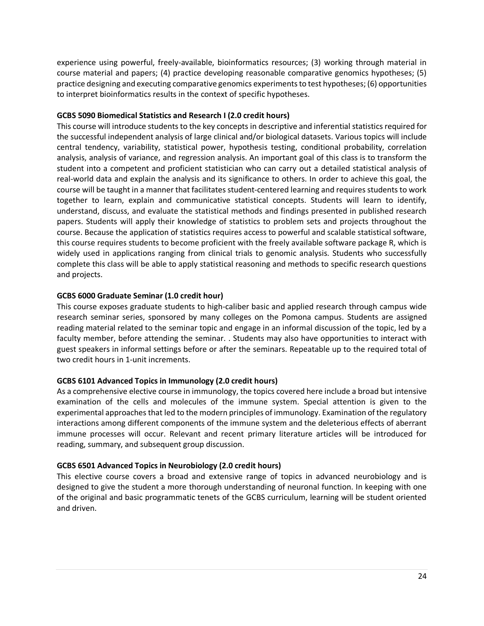experience using powerful, freely-available, bioinformatics resources; (3) working through material in course material and papers; (4) practice developing reasonable comparative genomics hypotheses; (5) practice designing and executing comparative genomics experiments to test hypotheses; (6) opportunities to interpret bioinformatics results in the context of specific hypotheses.

#### **GCBS 5090 Biomedical Statistics and Research I (2.0 credit hours)**

This course will introduce students to the key concepts in descriptive and inferential statistics required for the successful independent analysis of large clinical and/or biological datasets. Various topics will include central tendency, variability, statistical power, hypothesis testing, conditional probability, correlation analysis, analysis of variance, and regression analysis. An important goal of this class is to transform the student into a competent and proficient statistician who can carry out a detailed statistical analysis of real-world data and explain the analysis and its significance to others. In order to achieve this goal, the course will be taught in a manner that facilitates student-centered learning and requires students to work together to learn, explain and communicative statistical concepts. Students will learn to identify, understand, discuss, and evaluate the statistical methods and findings presented in published research papers. Students will apply their knowledge of statistics to problem sets and projects throughout the course. Because the application of statistics requires access to powerful and scalable statistical software, this course requires students to become proficient with the freely available software package R, which is widely used in applications ranging from clinical trials to genomic analysis. Students who successfully complete this class will be able to apply statistical reasoning and methods to specific research questions and projects.

### **GCBS 6000 Graduate Seminar (1.0 credit hour)**

This course exposes graduate students to high-caliber basic and applied research through campus wide research seminar series, sponsored by many colleges on the Pomona campus. Students are assigned reading material related to the seminar topic and engage in an informal discussion of the topic, led by a faculty member, before attending the seminar. . Students may also have opportunities to interact with guest speakers in informal settings before or after the seminars. Repeatable up to the required total of two credit hours in 1-unit increments.

### **GCBS 6101 Advanced Topics in Immunology (2.0 credit hours)**

As a comprehensive elective course in immunology, the topics covered here include a broad but intensive examination of the cells and molecules of the immune system. Special attention is given to the experimental approaches that led to the modern principles of immunology. Examination of the regulatory interactions among different components of the immune system and the deleterious effects of aberrant immune processes will occur. Relevant and recent primary literature articles will be introduced for reading, summary, and subsequent group discussion.

### **GCBS 6501 Advanced Topics in Neurobiology (2.0 credit hours)**

This elective course covers a broad and extensive range of topics in advanced neurobiology and is designed to give the student a more thorough understanding of neuronal function. In keeping with one of the original and basic programmatic tenets of the GCBS curriculum, learning will be student oriented and driven.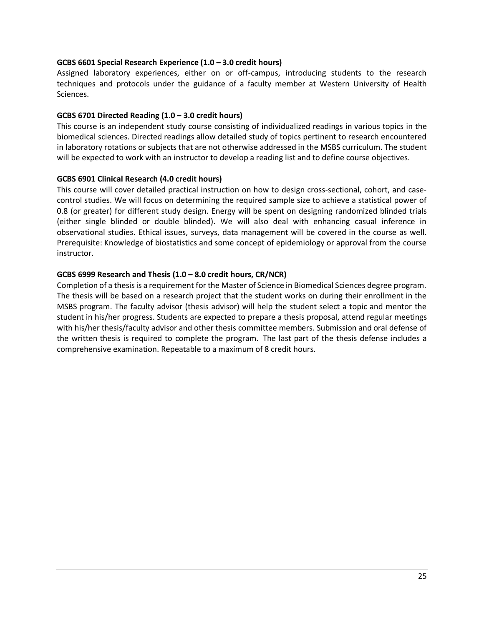#### **GCBS 6601 Special Research Experience (1.0 – 3.0 credit hours)**

Assigned laboratory experiences, either on or off-campus, introducing students to the research techniques and protocols under the guidance of a faculty member at Western University of Health Sciences.

#### **GCBS 6701 Directed Reading (1.0 – 3.0 credit hours)**

This course is an independent study course consisting of individualized readings in various topics in the biomedical sciences. Directed readings allow detailed study of topics pertinent to research encountered in laboratory rotations or subjects that are not otherwise addressed in the MSBS curriculum. The student will be expected to work with an instructor to develop a reading list and to define course objectives.

#### **GCBS 6901 Clinical Research (4.0 credit hours)**

This course will cover detailed practical instruction on how to design cross-sectional, cohort, and casecontrol studies. We will focus on determining the required sample size to achieve a statistical power of 0.8 (or greater) for different study design. Energy will be spent on designing randomized blinded trials (either single blinded or double blinded). We will also deal with enhancing casual inference in observational studies. Ethical issues, surveys, data management will be covered in the course as well. Prerequisite: Knowledge of biostatistics and some concept of epidemiology or approval from the course instructor.

#### **GCBS 6999 Research and Thesis (1.0 – 8.0 credit hours, CR/NCR)**

Completion of a thesis is a requirement for the Master of Science in Biomedical Sciences degree program. The thesis will be based on a research project that the student works on during their enrollment in the MSBS program. The faculty advisor (thesis advisor) will help the student select a topic and mentor the student in his/her progress. Students are expected to prepare a thesis proposal, attend regular meetings with his/her thesis/faculty advisor and other thesis committee members. Submission and oral defense of the written thesis is required to complete the program. The last part of the thesis defense includes a comprehensive examination. Repeatable to a maximum of 8 credit hours.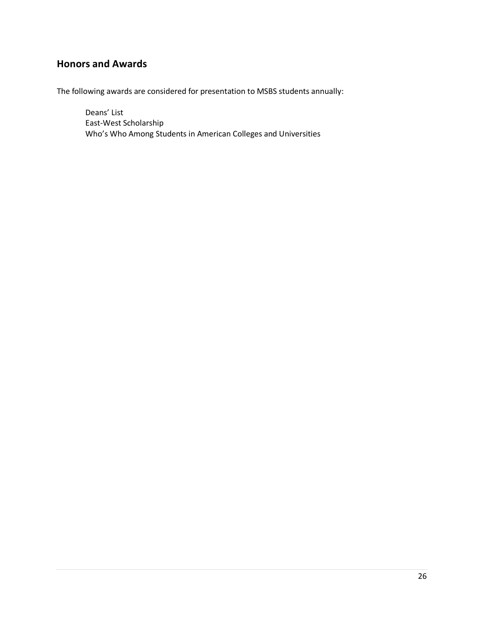# <span id="page-25-0"></span>**Honors and Awards**

The following awards are considered for presentation to MSBS students annually:

Deans' List East-West Scholarship Who's Who Among Students in American Colleges and Universities